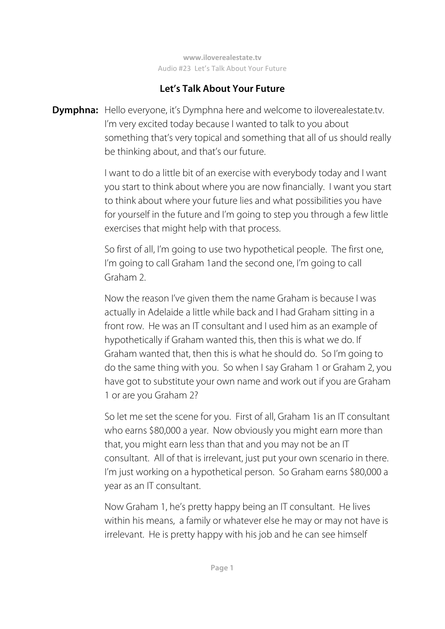# **Let's Talk About Your Future**

**Dymphna:** Hello everyone, it's Dymphna here and welcome to iloverealestate.tv. I'm very excited today because I wanted to talk to you about something that's very topical and something that all of us should really be thinking about, and that's our future.

> I want to do a little bit of an exercise with everybody today and I want you start to think about where you are now financially. I want you start to think about where your future lies and what possibilities you have for yourself in the future and I'm going to step you through a few little exercises that might help with that process.

So first of all, I'm going to use two hypothetical people. The first one, I'm going to call Graham 1 and the second one, I'm going to call Graham 2.

 Now the reason I've given them the name Graham is because I was actually in Adelaide a little while back and I had Graham sitting in a front row. He was an IT consultant and I used him as an example of hypothetically if Graham wanted this, then this is what we do. If Graham wanted that, then this is what he should do. So I'm going to do the same thing with you. So when I say Graham 1 or Graham 2, you have got to substitute your own name and work out if you are Graham 1 or are you Graham 2?

 So let me set the scene for you. First of all, Graham 1is an IT consultant who earns \$80,000 a year. Now obviously you might earn more than that, you might earn less than that and you may not be an IT consultant. All of that is irrelevant, just put your own scenario in there. I'm just working on a hypothetical person. So Graham earns \$80,000 a year as an IT consultant.

 Now Graham 1, he's pretty happy being an IT consultant. He lives within his means, a family or whatever else he may or may not have is irrelevant. He is pretty happy with his job and he can see himself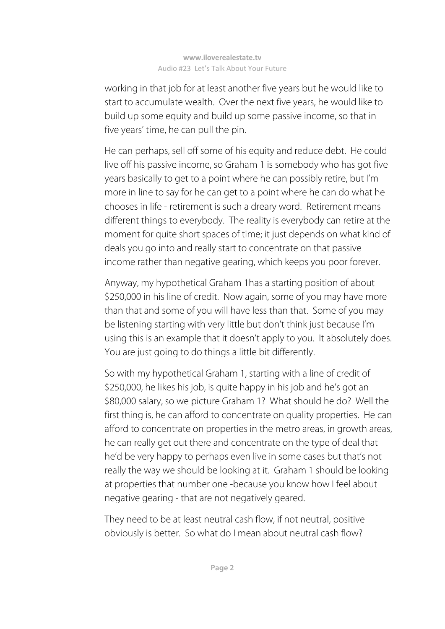working in that job for at least another five years but he would like to start to accumulate wealth. Over the next five years, he would like to build up some equity and build up some passive income, so that in five years' time, he can pull the pin.

 He can perhaps, sell off some of his equity and reduce debt. He could live off his passive income, so Graham 1 is somebody who has got five years basically to get to a point where he can possibly retire, but I'm more in line to say for he can get to a point where he can do what he chooses in life - retirement is such a dreary word. Retirement means different things to everybody. The reality is everybody can retire at the moment for quite short spaces of time; it just depends on what kind of deals you go into and really start to concentrate on that passive income rather than negative gearing, which keeps you poor forever.

 Anyway, my hypothetical Graham 1has a starting position of about \$250,000 in his line of credit. Now again, some of you may have more than that and some of you will have less than that. Some of you may be listening starting with very little but don't think just because I'm using this is an example that it doesn't apply to you. It absolutely does. You are just going to do things a little bit differently.

 So with my hypothetical Graham 1, starting with a line of credit of \$250,000, he likes his job, is quite happy in his job and he's got an \$80,000 salary, so we picture Graham 1? What should he do? Well the first thing is, he can afford to concentrate on quality properties. He can afford to concentrate on properties in the metro areas, in growth areas, he can really get out there and concentrate on the type of deal that he'd be very happy to perhaps even live in some cases but that's not really the way we should be looking at it. Graham 1 should be looking at properties that number one -because you know how I feel about negative gearing - that are not negatively geared.

 They need to be at least neutral cash flow, if not neutral, positive obviously is better. So what do I mean about neutral cash flow?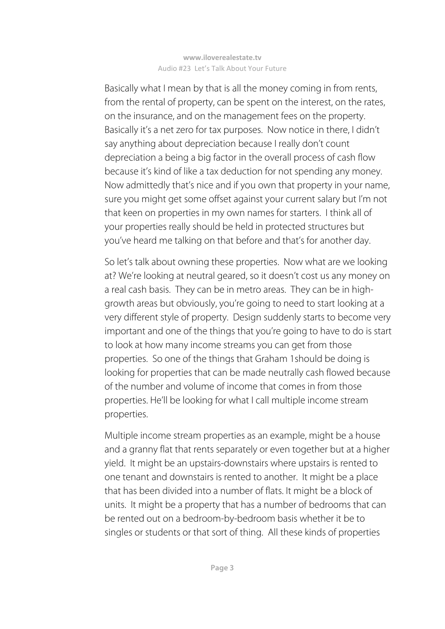Basically what I mean by that is all the money coming in from rents, from the rental of property, can be spent on the interest, on the rates, on the insurance, and on the management fees on the property. Basically it's a net zero for tax purposes. Now notice in there, I didn't say anything about depreciation because I really don't count depreciation a being a big factor in the overall process of cash flow because it's kind of like a tax deduction for not spending any money. Now admittedly that's nice and if you own that property in your name, sure you might get some offset against your current salary but I'm not that keen on properties in my own names for starters. I think all of your properties really should be held in protected structures but you've heard me talking on that before and that's for another day.

 So let's talk about owning these properties. Now what are we looking at? We're looking at neutral geared, so it doesn't cost us any money on a real cash basis. They can be in metro areas. They can be in highgrowth areas but obviously, you're going to need to start looking at a very different style of property. Design suddenly starts to become very important and one of the things that you're going to have to do is start to look at how many income streams you can get from those properties. So one of the things that Graham 1should be doing is looking for properties that can be made neutrally cash flowed because of the number and volume of income that comes in from those properties. He'll be looking for what I call multiple income stream properties.

 Multiple income stream properties as an example, might be a house and a granny flat that rents separately or even together but at a higher yield. It might be an upstairs-downstairs where upstairs is rented to one tenant and downstairs is rented to another. It might be a place that has been divided into a number of flats. It might be a block of units. It might be a property that has a number of bedrooms that can be rented out on a bedroom-by-bedroom basis whether it be to singles or students or that sort of thing. All these kinds of properties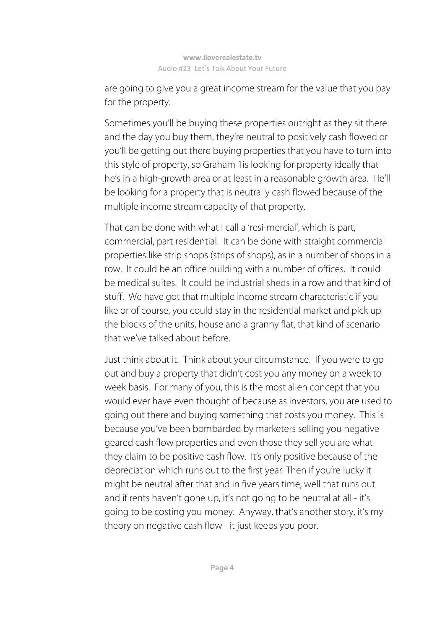are going to give you a great income stream for the value that you pay for the property.

 Sometimes you'll be buying these properties outright as they sit there and the day you buy them, they're neutral to positively cash flowed or you'll be getting out there buying properties that you have to turn into this style of property, so Graham 1is looking for property ideally that he's in a high-growth area or at least in a reasonable growth area. He'll be looking for a property that is neutrally cash flowed because of the multiple income stream capacity of that property.

 That can be done with what I call a 'resi-mercial', which is part, commercial, part residential. It can be done with straight commercial properties like strip shops (strips of shops), as in a number of shops in a row. It could be an office building with a number of offices. It could be medical suites. It could be industrial sheds in a row and that kind of stuff. We have got that multiple income stream characteristic if you like or of course, you could stay in the residential market and pick up the blocks of the units, house and a granny flat, that kind of scenario that we've talked about before.

 Just think about it. Think about your circumstance. If you were to go out and buy a property that didn't cost you any money on a week to week basis. For many of you, this is the most alien concept that you would ever have even thought of because as investors, you are used to going out there and buying something that costs you money. This is because you've been bombarded by marketers selling you negative geared cash flow properties and even those they sell you are what they claim to be positive cash flow. It's only positive because of the depreciation which runs out to the first year. Then if you're lucky it might be neutral after that and in five years time, well that runs out and if rents haven't gone up, it's not going to be neutral at all - it's going to be costing you money. Anyway, that's another story, it's my theory on negative cash flow - it just keeps you poor.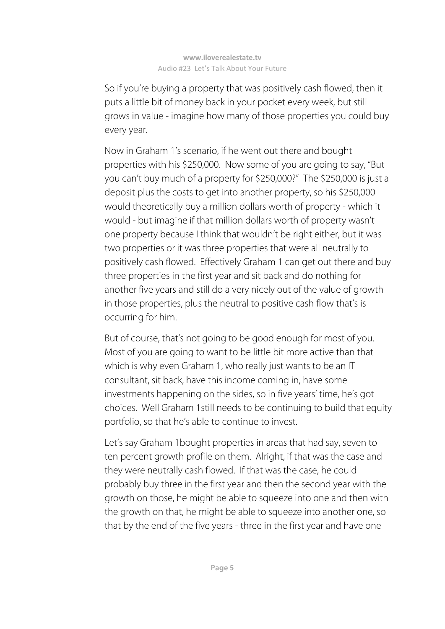So if you're buying a property that was positively cash flowed, then it puts a little bit of money back in your pocket every week, but still grows in value - imagine how many of those properties you could buy every year.

 Now in Graham 1's scenario, if he went out there and bought properties with his \$250,000. Now some of you are going to say, "But you can't buy much of a property for \$250,000?" The \$250,000 is just a deposit plus the costs to get into another property, so his \$250,000 would theoretically buy a million dollars worth of property - which it would - but imagine if that million dollars worth of property wasn't one property because I think that wouldn't be right either, but it was two properties or it was three properties that were all neutrally to positively cash flowed. Effectively Graham 1 can get out there and buy three properties in the first year and sit back and do nothing for another five years and still do a very nicely out of the value of growth in those properties, plus the neutral to positive cash flow that's is occurring for him.

 But of course, that's not going to be good enough for most of you. Most of you are going to want to be little bit more active than that which is why even Graham 1, who really just wants to be an IT consultant, sit back, have this income coming in, have some investments happening on the sides, so in five years' time, he's got choices. Well Graham 1still needs to be continuing to build that equity portfolio, so that he's able to continue to invest.

 Let's say Graham 1bought properties in areas that had say, seven to ten percent growth profile on them. Alright, if that was the case and they were neutrally cash flowed. If that was the case, he could probably buy three in the first year and then the second year with the growth on those, he might be able to squeeze into one and then with the growth on that, he might be able to squeeze into another one, so that by the end of the five years - three in the first year and have one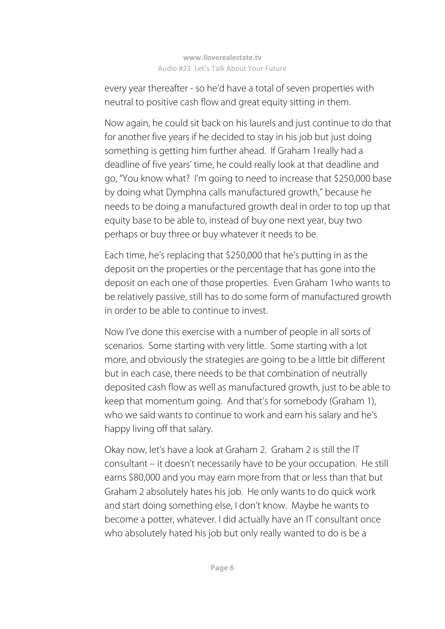every year thereafter - so he'd have a total of seven properties with neutral to positive cash flow and great equity sitting in them.

 Now again, he could sit back on his laurels and just continue to do that for another five years if he decided to stay in his job but just doing something is getting him further ahead. If Graham 1really had a deadline of five years' time, he could really look at that deadline and go, "You know what? I'm going to need to increase that \$250,000 base by doing what Dymphna calls manufactured growth," because he needs to be doing a manufactured growth deal in order to top up that equity base to be able to, instead of buy one next year, buy two perhaps or buy three or buy whatever it needs to be.

 Each time, he's replacing that \$250,000 that he's putting in as the deposit on the properties or the percentage that has gone into the deposit on each one of those properties. Even Graham 1who wants to be relatively passive, still has to do some form of manufactured growth in order to be able to continue to invest.

 Now I've done this exercise with a number of people in all sorts of scenarios. Some starting with very little. Some starting with a lot more, and obviously the strategies are going to be a little bit different but in each case, there needs to be that combination of neutrally deposited cash flow as well as manufactured growth, just to be able to keep that momentum going. And that's for somebody (Graham 1), who we said wants to continue to work and earn his salary and he's happy living off that salary.

 Okay now, let's have a look at Graham 2. Graham 2 is still the IT consultant – it doesn't necessarily have to be your occupation. He still earns \$80,000 and you may earn more from that or less than that but Graham 2 absolutely hates his job. He only wants to do quick work and start doing something else, I don't know. Maybe he wants to become a potter, whatever. I did actually have an IT consultant once who absolutely hated his job but only really wanted to do is be a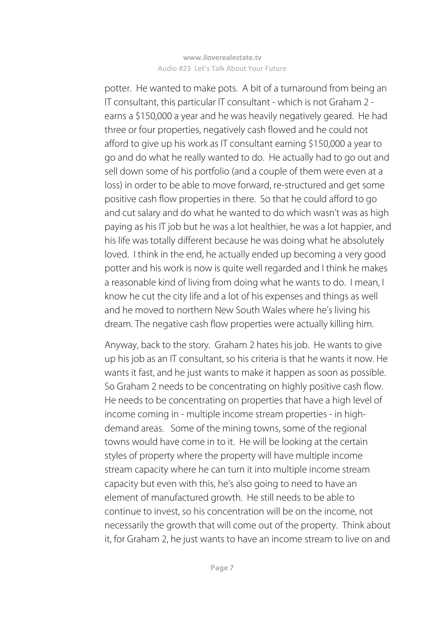potter. He wanted to make pots. A bit of a turnaround from being an IT consultant, this particular IT consultant - which is not Graham 2 earns a \$150,000 a year and he was heavily negatively geared. He had three or four properties, negatively cash flowed and he could not afford to give up his work as IT consultant earning \$150,000 a year to go and do what he really wanted to do. He actually had to go out and sell down some of his portfolio (and a couple of them were even at a loss) in order to be able to move forward, re-structured and get some positive cash flow properties in there. So that he could afford to go and cut salary and do what he wanted to do which wasn't was as high paying as his IT job but he was a lot healthier, he was a lot happier, and his life was totally different because he was doing what he absolutely loved. I think in the end, he actually ended up becoming a very good potter and his work is now is quite well regarded and I think he makes a reasonable kind of living from doing what he wants to do. I mean, I know he cut the city life and a lot of his expenses and things as well and he moved to northern New South Wales where he's living his dream. The negative cash flow properties were actually killing him.

 Anyway, back to the story. Graham 2 hates his job. He wants to give up his job as an IT consultant, so his criteria is that he wants it now. He wants it fast, and he just wants to make it happen as soon as possible. So Graham 2 needs to be concentrating on highly positive cash flow. He needs to be concentrating on properties that have a high level of income coming in - multiple income stream properties - in highdemand areas. Some of the mining towns, some of the regional towns would have come in to it. He will be looking at the certain styles of property where the property will have multiple income stream capacity where he can turn it into multiple income stream capacity but even with this, he's also going to need to have an element of manufactured growth. He still needs to be able to continue to invest, so his concentration will be on the income, not necessarily the growth that will come out of the property. Think about it, for Graham 2, he just wants to have an income stream to live on and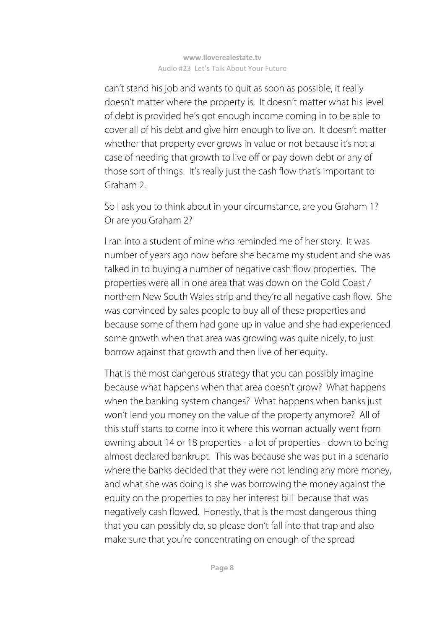can't stand his job and wants to quit as soon as possible, it really doesn't matter where the property is. It doesn't matter what his level of debt is provided he's got enough income coming in to be able to cover all of his debt and give him enough to live on. It doesn't matter whether that property ever grows in value or not because it's not a case of needing that growth to live off or pay down debt or any of those sort of things. It's really just the cash flow that's important to Graham 2.

 So I ask you to think about in your circumstance, are you Graham 1? Or are you Graham 2?

 I ran into a student of mine who reminded me of her story. It was number of years ago now before she became my student and she was talked in to buying a number of negative cash flow properties. The properties were all in one area that was down on the Gold Coast / northern New South Wales strip and they're all negative cash flow. She was convinced by sales people to buy all of these properties and because some of them had gone up in value and she had experienced some growth when that area was growing was quite nicely, to just borrow against that growth and then live of her equity.

 That is the most dangerous strategy that you can possibly imagine because what happens when that area doesn't grow? What happens when the banking system changes? What happens when banks just won't lend you money on the value of the property anymore? All of this stuff starts to come into it where this woman actually went from owning about 14 or 18 properties - a lot of properties - down to being almost declared bankrupt. This was because she was put in a scenario where the banks decided that they were not lending any more money, and what she was doing is she was borrowing the money against the equity on the properties to pay her interest bill because that was negatively cash flowed. Honestly, that is the most dangerous thing that you can possibly do, so please don't fall into that trap and also make sure that you're concentrating on enough of the spread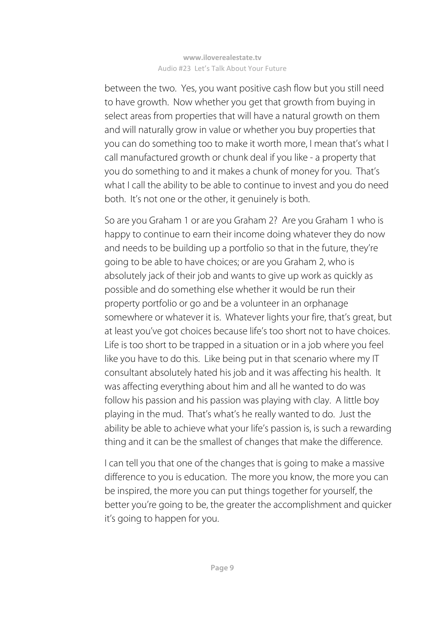between the two. Yes, you want positive cash flow but you still need to have growth. Now whether you get that growth from buying in select areas from properties that will have a natural growth on them and will naturally grow in value or whether you buy properties that you can do something too to make it worth more, I mean that's what I call manufactured growth or chunk deal if you like - a property that you do something to and it makes a chunk of money for you. That's what I call the ability to be able to continue to invest and you do need both. It's not one or the other, it genuinely is both.

 So are you Graham 1 or are you Graham 2? Are you Graham 1 who is happy to continue to earn their income doing whatever they do now and needs to be building up a portfolio so that in the future, they're going to be able to have choices; or are you Graham 2, who is absolutely jack of their job and wants to give up work as quickly as possible and do something else whether it would be run their property portfolio or go and be a volunteer in an orphanage somewhere or whatever it is. Whatever lights your fire, that's great, but at least you've got choices because life's too short not to have choices. Life is too short to be trapped in a situation or in a job where you feel like you have to do this. Like being put in that scenario where my IT consultant absolutely hated his job and it was affecting his health. It was affecting everything about him and all he wanted to do was follow his passion and his passion was playing with clay. A little boy playing in the mud. That's what's he really wanted to do. Just the ability be able to achieve what your life's passion is, is such a rewarding thing and it can be the smallest of changes that make the difference.

 I can tell you that one of the changes that is going to make a massive difference to you is education. The more you know, the more you can be inspired, the more you can put things together for yourself, the better you're going to be, the greater the accomplishment and quicker it's going to happen for you.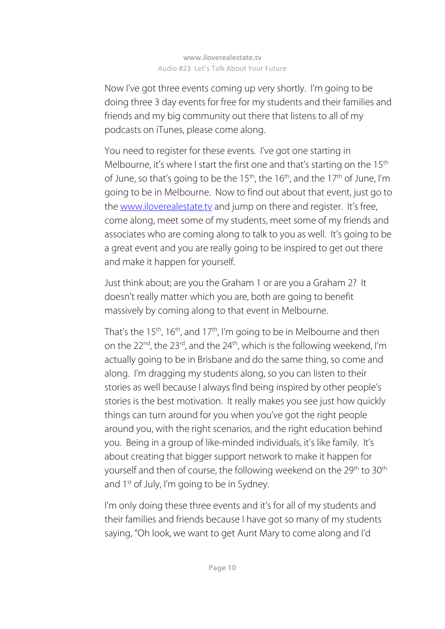Now I've got three events coming up very shortly. I'm going to be doing three 3 day events for free for my students and their families and friends and my big community out there that listens to all of my podcasts on iTunes, please come along.

 You need to register for these events. I've got one starting in Melbourne, it's where I start the first one and that's starting on the 15<sup>th</sup> of June, so that's going to be the  $15<sup>th</sup>$ , the  $16<sup>th</sup>$ , and the  $17<sup>th</sup>$  of June, I'm going to be in Melbourne. Now to find out about that event, just go to the www.iloverealestate.tv and jump on there and register. It's free, come along, meet some of my students, meet some of my friends and associates who are coming along to talk to you as well. It's going to be a great event and you are really going to be inspired to get out there and make it happen for yourself.

 Just think about; are you the Graham 1 or are you a Graham 2? It doesn't really matter which you are, both are going to benefit massively by coming along to that event in Melbourne.

That's the 15<sup>th</sup>, 16<sup>th</sup>, and 17<sup>th</sup>, I'm going to be in Melbourne and then on the 22<sup>nd</sup>, the 23<sup>rd</sup>, and the 24<sup>th</sup>, which is the following weekend, I'm actually going to be in Brisbane and do the same thing, so come and along. I'm dragging my students along, so you can listen to their stories as well because I always find being inspired by other people's stories is the best motivation. It really makes you see just how quickly things can turn around for you when you've got the right people around you, with the right scenarios, and the right education behind you. Being in a group of like-minded individuals, it's like family. It's about creating that bigger support network to make it happen for yourself and then of course, the following weekend on the 29<sup>th</sup> to 30<sup>th</sup> and  $1^{st}$  of July, I'm going to be in Sydney.

I'm only doing these three events and it's for all of my students and their families and friends because I have got so many of my students saying, "Oh look, we want to get Aunt Mary to come along and I'd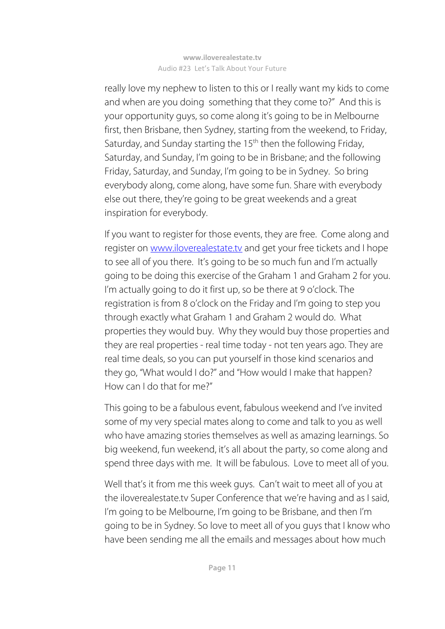really love my nephew to listen to this or I really want my kids to come and when are you doing something that they come to?" And this is your opportunity guys, so come along it's going to be in Melbourne first, then Brisbane, then Sydney, starting from the weekend, to Friday, Saturday, and Sunday starting the 15<sup>th</sup> then the following Friday, Saturday, and Sunday, I'm going to be in Brisbane; and the following Friday, Saturday, and Sunday, I'm going to be in Sydney. So bring everybody along, come along, have some fun. Share with everybody else out there, they're going to be great weekends and a great inspiration for everybody.

 If you want to register for those events, they are free. Come along and register on www.iloverealestate.tv and get your free tickets and I hope to see all of you there. It's going to be so much fun and I'm actually going to be doing this exercise of the Graham 1 and Graham 2 for you. I'm actually going to do it first up, so be there at 9 o'clock. The registration is from 8 o'clock on the Friday and I'm going to step you through exactly what Graham 1 and Graham 2 would do. What properties they would buy. Why they would buy those properties and they are real properties - real time today - not ten years ago. They are real time deals, so you can put yourself in those kind scenarios and they go, "What would I do?" and "How would I make that happen? How can I do that for me?"

 This going to be a fabulous event, fabulous weekend and I've invited some of my very special mates along to come and talk to you as well who have amazing stories themselves as well as amazing learnings. So big weekend, fun weekend, it's all about the party, so come along and spend three days with me. It will be fabulous. Love to meet all of you.

 Well that's it from me this week guys. Can't wait to meet all of you at the iloverealestate.tv Super Conference that we're having and as I said, I'm going to be Melbourne, I'm going to be Brisbane, and then I'm going to be in Sydney. So love to meet all of you guys that I know who have been sending me all the emails and messages about how much